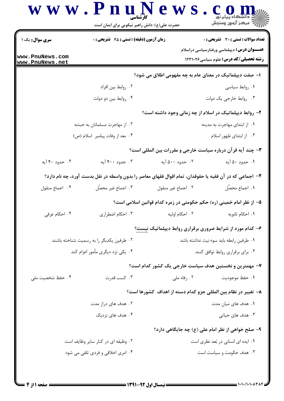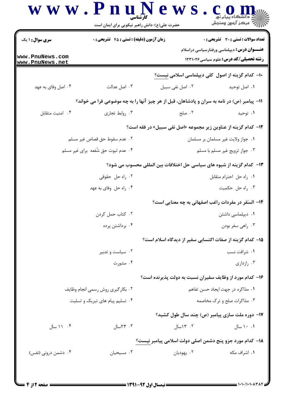|                                    | حضرت علی(ع): دانش راهبر نیکویی برای ایمان است |                                                                                             | أأأأ مركز آزمون وسنجش                                                                             |  |
|------------------------------------|-----------------------------------------------|---------------------------------------------------------------------------------------------|---------------------------------------------------------------------------------------------------|--|
| <b>سری سوال : ۱ یک</b>             |                                               | تعداد سوالات : تستى : 30 ٪ تشريحي : 0<br><b>زمان آزمون (دقیقه) : تستی : 45 گشریحی : 0</b>   |                                                                                                   |  |
| www.PnuNews.com<br>www.PnuNews.net |                                               |                                                                                             | <b>عنـــوان درس:</b> دیپلماسی ورفتارسیاسی دراسلام<br><b>رشته تحصیلی/کد درس:</b> علوم سیاسی1۲۳۱۰۲۶ |  |
|                                    |                                               | <b>۱۰</b> - کدام گزینه از اصول کلی دیپلماسی اسلامی نیست؟                                    |                                                                                                   |  |
| ۰۴ اصل وفای به عهد                 | ۰۳ اصل عدالت                                  | ٠٢ اصل نفي سبيل                                                                             | ۰۱ اصل توحید                                                                                      |  |
|                                    |                                               | 11- پیامبر (ص) در نامه به سران و پادشاهان، قبل از هر چیز آنها را به چه موضوعی فرا می خواند؟ |                                                                                                   |  |
| ۰۴ امنيت متقابل                    | ۰۳ روابط تجاري                                | ۰۲ صلح                                                                                      | ۰۱ توحید                                                                                          |  |
|                                    |                                               | 12- كدام گزینه از عناوین زیر مجموعه «اصل نفی سبیل» در فقه است؟                              |                                                                                                   |  |
|                                    | ٠٢ عدم سقوط حق قصاص غير مسلم                  |                                                                                             | ٠١ جواز ولايت غير مسلمان بر مسلمان                                                                |  |
| ۰۴ عدم ثبوت حق شُفعه برای غیر مسلم |                                               | ۰۳ جواز تزويج غير مسلم با مسلم                                                              |                                                                                                   |  |
|                                    |                                               | ۱۳– کدام گزینه از شیوه های سیاسی حل اختلافات بین المللی محسوب می شود؟                       |                                                                                                   |  |
| ۰۲ راه حل حقوقی                    |                                               |                                                                                             | ٠١. راه حل احترام متقابل                                                                          |  |
| ۰۴ راه حل وفای به عهد              |                                               | ۰۳ راه حل حکمیت                                                                             |                                                                                                   |  |
|                                    |                                               | ۱۴- السَفَر در مفردات راغب اصفهانی به چه معنایی است؟                                        |                                                                                                   |  |
| ۰۲ کتاب حمل کردن                   |                                               | ۰۱ دیپلماسی داشتن                                                                           |                                                                                                   |  |
| ۰۴ برداشتن پرده                    |                                               | ۰۳ راهي سفر بودن                                                                            |                                                                                                   |  |
|                                    |                                               | ۱۵– کدام گزینه از صفات اکتسابی سفیر از دیدگاه اسلام است؟                                    |                                                                                                   |  |
| ۰۲ سیاست و تدبیر                   |                                               | ۰۱ شرافت نسب                                                                                |                                                                                                   |  |
|                                    | ۰۴ مشورت                                      |                                                                                             | ۰۳ رازداری                                                                                        |  |
|                                    |                                               | ۱۶- کدام مورد از وظایف سفیران نسبت به دولت پذیرنده است؟                                     |                                                                                                   |  |
| ٠٢ بكارگيري روش رسمي انجام وظايف   |                                               | ٠١. مذاكره در جهت ايجاد حسن تفاهم                                                           |                                                                                                   |  |
| ۰۴ تسلیم پیام های تبریک و تسلیت    |                                               | ۰۳ مذاکرات صلح و ترک مخاصمه                                                                 |                                                                                                   |  |
|                                    |                                               | ۱۷- دوره ملت سازی پیامبر (ص) چند سال طول کشید؟                                              |                                                                                                   |  |
| ۰۴ ۱۱ سال                          | ۰۳ ۲۳سال                                      | ۰۲ ۱۳سال                                                                                    | ۰.۱ سال                                                                                           |  |
|                                    |                                               | 18− كدام مورد جزو پنج دشمن اصلي دولت اسلامي پيامبر نيست؟                                    |                                                                                                   |  |
| ۰۴ دشمن درونی (نفس)                | ۰۳ مسیحیان                                    | ۰۲ يهوديان                                                                                  | ۰۱ اشراف مکه                                                                                      |  |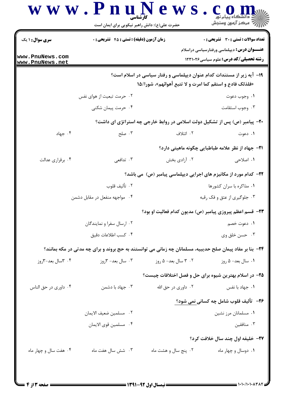|                                    | حضرت علی(ع): دانش راهبر نیکویی برای ایمان است                                                             |                                                                                                                                    | رُ⁄ر کرڪز آزمون وسنڊش                                                                             |  |
|------------------------------------|-----------------------------------------------------------------------------------------------------------|------------------------------------------------------------------------------------------------------------------------------------|---------------------------------------------------------------------------------------------------|--|
| <b>سری سوال : ۱ یک</b>             | <b>زمان آزمون (دقیقه) : تستی : 45 تشریحی : 0</b>                                                          |                                                                                                                                    | <b>تعداد سوالات : تستی : 30 ٪ تشریحی : 0</b>                                                      |  |
| www.PnuNews.com<br>www.PnuNews.net |                                                                                                           |                                                                                                                                    | <b>عنـــوان درس:</b> دیپلماسی ورفتارسیاسی دراسلام<br><b>رشته تحصیلی/کد درس:</b> علوم سیاسی1۲۳۱۰۲۶ |  |
|                                    |                                                                                                           | ۱۹- آیه زیر از مستندات کدام عنوان دیپلماسی و رفتار سیاسی در اسلام است؟<br>«فلذلک فادع و استقم کما امرت و لا تتبع أهوائهم»، شورا/۱۵ |                                                                                                   |  |
|                                    | ۲.  حرمت تبعیت از هوای نفس                                                                                |                                                                                                                                    | ۰۱ وجوب دعوت                                                                                      |  |
|                                    | ۰۴ حرمت پیمان شکنی                                                                                        |                                                                                                                                    | ۰۳ وجوب استقامت                                                                                   |  |
|                                    |                                                                                                           | ۲۰- پیامبر (ص) پس از تشکیل دولت اسلامی در روابط خارجی چه استراتژی ای داشت؟                                                         |                                                                                                   |  |
| ۰۴ جهاد                            | ۰۳ صلح                                                                                                    | ۲. ائتلاف                                                                                                                          | ۰۱ دعوت                                                                                           |  |
|                                    |                                                                                                           |                                                                                                                                    | <b>۲۱</b> – جهاد از نظر علامه طباطبایی چگونه ماهیتی دارد؟                                         |  |
| ۰۴ برقراری عدالت                   | ۰۳ تدافعي                                                                                                 | ۰۲ آزادی بخش                                                                                                                       | ۱. اصلاحی                                                                                         |  |
|                                    | ۲۲- کدام مورد از مکانیزم های اجرایی دیپلماسی پیامبر (ص) می باشد؟                                          |                                                                                                                                    |                                                                                                   |  |
|                                    | ٠٢ تأليف قلوب                                                                                             | ۰۱ مذاکره با سران کشورها                                                                                                           |                                                                                                   |  |
|                                    | ۰۴ مواجهه منفعل در مقابل دشمن                                                                             | ۰۳ جلوگیری از عتق و فک رقبه                                                                                                        |                                                                                                   |  |
|                                    |                                                                                                           | ۲۳- قسم اعظم پیروزی پیامبر (ص) مدیون کدام فعالیت او بود؟                                                                           |                                                                                                   |  |
|                                    | ۰۲ ارسال سفرا و نمایندگان                                                                                 | ١. دعوت خصم                                                                                                                        |                                                                                                   |  |
|                                    | ۰۴ كسب اطلاعات دقيق                                                                                       |                                                                                                                                    | ۰۳ حسن خلق وي                                                                                     |  |
|                                    | ۲۴- بنا بر مفاد پیمان صلح حدیبیه، مسلمانان چه زمانی می توانستند به حج بروند و برای چه مدتی در مکه بمانند؟ |                                                                                                                                    |                                                                                                   |  |
| ۰۴ سال بعد-۳روز                    | ۰۳ سال بعد- ۳روز                                                                                          | ۰۲ ۳ سال بعد- ۵ روز                                                                                                                | ۰۱ سال بعد- ۵ روز                                                                                 |  |
|                                    |                                                                                                           | ۲۵– در اسلام بهترین شیوه برای حل و فصل اختلافات چیست؟                                                                              |                                                                                                   |  |
| ۰۴ داوری در حق الناس               | ۰۳ جهاد با دشمن                                                                                           | ۰۲ داوری در حق الله                                                                                                                | ۰۱ جهاد با نفس                                                                                    |  |
|                                    |                                                                                                           |                                                                                                                                    | <mark>۲۶</mark> - تألیف قلوب شامل چه کسان <u>ی ن</u> می شود؟                                      |  |
|                                    | ٠٢ مسلمين ضعيف الايمان                                                                                    |                                                                                                                                    | ٠١ مسلمانان مرز نشين                                                                              |  |
|                                    | ٠۴ مسلمين قوى الايمان                                                                                     |                                                                                                                                    | ۰۳ منافقین                                                                                        |  |
|                                    |                                                                                                           |                                                                                                                                    | ٢٧- خليفه اول چند سال خلافت کرد؟                                                                  |  |
| ۰۴ هفت سال و چهار ماه              | ۰۳ شش سال هفت ماه                                                                                         | ۰۲ پنج سال و هشت ماه                                                                                                               | ۰۱ دوسال و چهار ماه                                                                               |  |

×